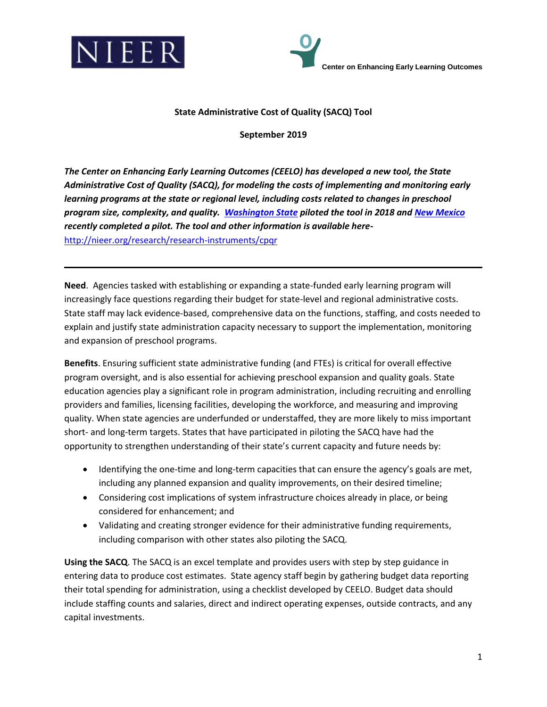



## **State Administrative Cost of Quality (SACQ) Tool**

**September 2019**

*The Center on Enhancing Early Learning Outcomes (CEELO) has developed a new tool, the State Administrative Cost of Quality (SACQ), for modeling the costs of implementing and monitoring early learning programs at the state or regional level, including costs related to changes in preschool program size, complexity, and quality. [Washington State](http://ceelo.org/wp-content/uploads/2018/10/CEELOMemo_WAStateAdminCapacity.pdf) piloted the tool in 2018 and [New Mexico](NM%20SACQ%20Pilot_FinalforPosting%20(2019_09_24)_2.pdf) recently completed a pilot. The tool and other information is available here*<http://nieer.org/research/research-instruments/cpqr>

**Need**. Agencies tasked with establishing or expanding a state-funded early learning program will increasingly face questions regarding their budget for state-level and regional administrative costs. State staff may lack evidence-based, comprehensive data on the functions, staffing, and costs needed to explain and justify state administration capacity necessary to support the implementation, monitoring and expansion of preschool programs.

**Benefits**. Ensuring sufficient state administrative funding (and FTEs) is critical for overall effective program oversight, and is also essential for achieving preschool expansion and quality goals. State education agencies play a significant role in program administration, including recruiting and enrolling providers and families, licensing facilities, developing the workforce, and measuring and improving quality. When state agencies are underfunded or understaffed, they are more likely to miss important short- and long-term targets. States that have participated in piloting the SACQ have had the opportunity to strengthen understanding of their state's current capacity and future needs by:

- Identifying the one-time and long-term capacities that can ensure the agency's goals are met, including any planned expansion and quality improvements, on their desired timeline;
- Considering cost implications of system infrastructure choices already in place, or being considered for enhancement; and
- Validating and creating stronger evidence for their administrative funding requirements, including comparison with other states also piloting the SACQ.

**Using the SACQ**. The SACQ is an excel template and provides users with step by step guidance in entering data to produce cost estimates. State agency staff begin by gathering budget data reporting their total spending for administration, using a checklist developed by CEELO. Budget data should include staffing counts and salaries, direct and indirect operating expenses, outside contracts, and any capital investments.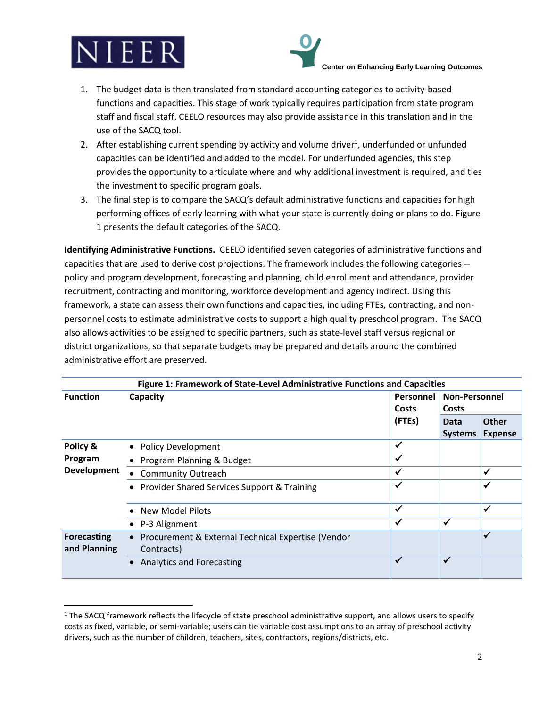

 $\overline{a}$ 



- 1. The budget data is then translated from standard accounting categories to activity-based functions and capacities. This stage of work typically requires participation from state program staff and fiscal staff. CEELO resources may also provide assistance in this translation and in the use of the SACQ tool.
- 2. After establishing current spending by activity and volume driver<sup>1</sup>, underfunded or unfunded capacities can be identified and added to the model. For underfunded agencies, this step provides the opportunity to articulate where and why additional investment is required, and ties the investment to specific program goals.
- 3. The final step is to compare the SACQ's default administrative functions and capacities for high performing offices of early learning with what your state is currently doing or plans to do. Figure 1 presents the default categories of the SACQ.

**Identifying Administrative Functions.** CEELO identified seven categories of administrative functions and capacities that are used to derive cost projections. The framework includes the following categories - policy and program development, forecasting and planning, child enrollment and attendance, provider recruitment, contracting and monitoring, workforce development and agency indirect. Using this framework, a state can assess their own functions and capacities, including FTEs, contracting, and nonpersonnel costs to estimate administrative costs to support a high quality preschool program. The SACQ also allows activities to be assigned to specific partners, such as state-level staff versus regional or district organizations, so that separate budgets may be prepared and details around the combined administrative effort are preserved.

| Figure 1: Framework of State-Level Administrative Functions and Capacities |                                                                 |                    |                               |                |  |  |  |
|----------------------------------------------------------------------------|-----------------------------------------------------------------|--------------------|-------------------------------|----------------|--|--|--|
| <b>Function</b>                                                            | Capacity                                                        | Personnel<br>Costs | <b>Non-Personnel</b><br>Costs |                |  |  |  |
|                                                                            |                                                                 | (FTEs)             | Data                          | <b>Other</b>   |  |  |  |
|                                                                            |                                                                 |                    | <b>Systems</b>                | <b>Expense</b> |  |  |  |
| Policy &<br>Program<br><b>Development</b>                                  | • Policy Development                                            | $\checkmark$       |                               |                |  |  |  |
|                                                                            | Program Planning & Budget                                       | ✔                  |                               |                |  |  |  |
|                                                                            | <b>Community Outreach</b><br>$\bullet$                          | $\checkmark$       |                               | ✓              |  |  |  |
|                                                                            | • Provider Shared Services Support & Training                   | ✔                  |                               |                |  |  |  |
|                                                                            | New Model Pilots                                                | $\checkmark$       |                               | ✔              |  |  |  |
|                                                                            | • P-3 Alignment                                                 | ✔                  | $\checkmark$                  |                |  |  |  |
| <b>Forecasting</b><br>and Planning                                         | Procurement & External Technical Expertise (Vendor<br>$\bullet$ |                    |                               |                |  |  |  |
|                                                                            | Contracts)                                                      |                    |                               |                |  |  |  |
|                                                                            | <b>Analytics and Forecasting</b>                                | $\checkmark$       | ✔                             |                |  |  |  |

 $1$  The SACQ framework reflects the lifecycle of state preschool administrative support, and allows users to specify costs as fixed, variable, or semi-variable; users can tie variable cost assumptions to an array of preschool activity drivers, such as the number of children, teachers, sites, contractors, regions/districts, etc.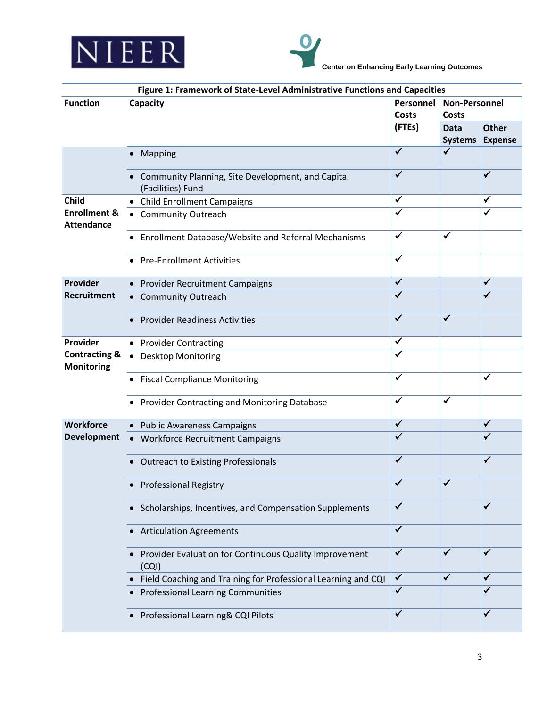



| Figure 1: Framework of State-Level Administrative Functions and Capacities |                                                                          |                           |                                      |                |  |  |
|----------------------------------------------------------------------------|--------------------------------------------------------------------------|---------------------------|--------------------------------------|----------------|--|--|
| <b>Function</b>                                                            | Capacity                                                                 | Personnel<br><b>Costs</b> | <b>Non-Personnel</b><br><b>Costs</b> |                |  |  |
|                                                                            |                                                                          | (FTEs)                    | <b>Data</b>                          | <b>Other</b>   |  |  |
|                                                                            |                                                                          | $\overline{\checkmark}$   | Systems<br>$\checkmark$              | <b>Expense</b> |  |  |
|                                                                            | Mapping                                                                  |                           |                                      |                |  |  |
|                                                                            | • Community Planning, Site Development, and Capital<br>(Facilities) Fund | ✓                         |                                      | ✓              |  |  |
| <b>Child</b><br><b>Enrollment &amp;</b><br><b>Attendance</b>               | • Child Enrollment Campaigns                                             | $\checkmark$              |                                      | ✓              |  |  |
|                                                                            | • Community Outreach                                                     | $\checkmark$              |                                      | ✓              |  |  |
|                                                                            | • Enrollment Database/Website and Referral Mechanisms                    | ✔                         | $\checkmark$                         |                |  |  |
|                                                                            | <b>Pre-Enrollment Activities</b>                                         | ✓                         |                                      |                |  |  |
| <b>Provider</b>                                                            | • Provider Recruitment Campaigns                                         | $\checkmark$              |                                      | $\checkmark$   |  |  |
| <b>Recruitment</b>                                                         | • Community Outreach                                                     | $\checkmark$              |                                      | $\checkmark$   |  |  |
|                                                                            | <b>Provider Readiness Activities</b>                                     | $\checkmark$              | $\checkmark$                         |                |  |  |
| Provider                                                                   | • Provider Contracting                                                   | $\checkmark$              |                                      |                |  |  |
| <b>Contracting &amp;</b><br><b>Monitoring</b>                              | • Desktop Monitoring                                                     | $\checkmark$              |                                      |                |  |  |
|                                                                            | • Fiscal Compliance Monitoring                                           | ✓                         |                                      | ✓              |  |  |
|                                                                            | • Provider Contracting and Monitoring Database                           | ✓                         | ✓                                    |                |  |  |
| Workforce                                                                  | • Public Awareness Campaigns                                             | $\checkmark$              |                                      | $\checkmark$   |  |  |
| <b>Development</b>                                                         | • Workforce Recruitment Campaigns                                        | $\checkmark$              |                                      | ✓              |  |  |
|                                                                            | • Outreach to Existing Professionals                                     | ✓                         |                                      | $\checkmark$   |  |  |
|                                                                            | <b>Professional Registry</b>                                             | ✓                         | ✓                                    |                |  |  |
|                                                                            | • Scholarships, Incentives, and Compensation Supplements                 | $\checkmark$              |                                      | ✓              |  |  |
|                                                                            | • Articulation Agreements                                                | $\checkmark$              |                                      |                |  |  |
|                                                                            | Provider Evaluation for Continuous Quality Improvement<br>(CQI)          | $\checkmark$              | $\checkmark$                         | $\checkmark$   |  |  |
|                                                                            | Field Coaching and Training for Professional Learning and CQI            | $\checkmark$              | $\checkmark$                         | $\checkmark$   |  |  |
|                                                                            | <b>Professional Learning Communities</b>                                 | $\overline{\checkmark}$   |                                      | $\checkmark$   |  |  |
|                                                                            | Professional Learning& CQI Pilots                                        | $\checkmark$              |                                      | $\checkmark$   |  |  |